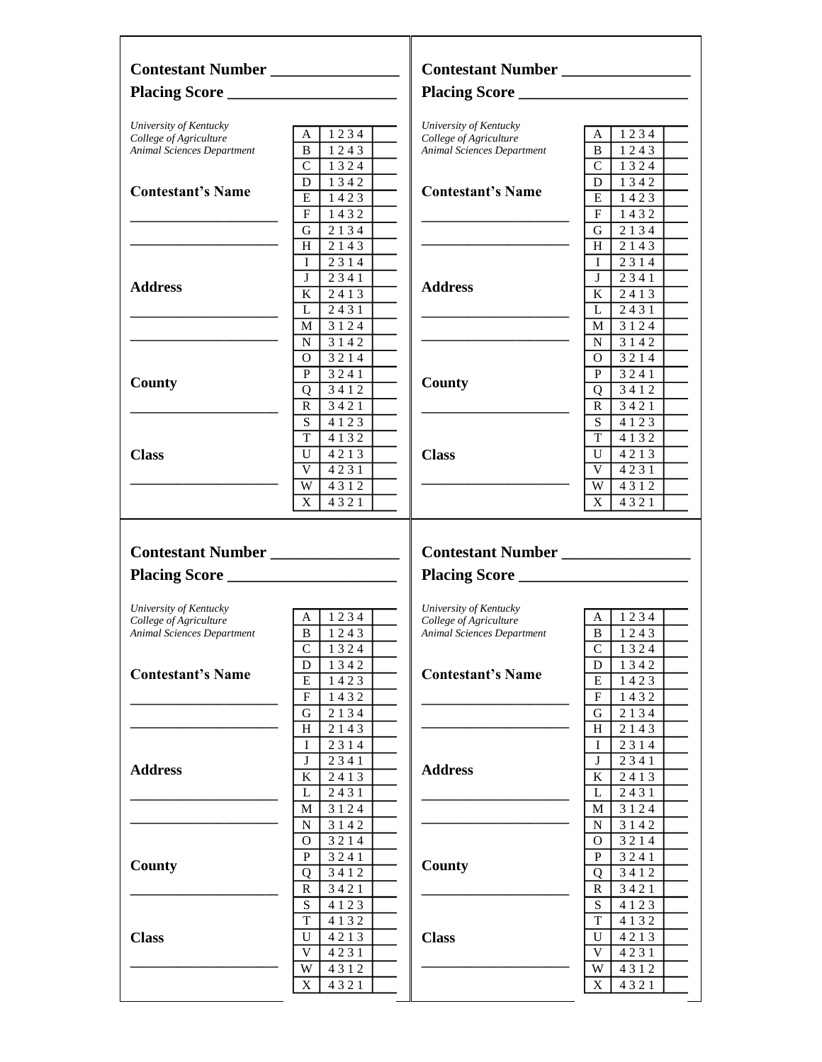| Contestant Number                                                                     |                        | Contestant Number                                |                                   |
|---------------------------------------------------------------------------------------|------------------------|--------------------------------------------------|-----------------------------------|
|                                                                                       |                        |                                                  |                                   |
| University of Kentucky<br>College of Agriculture                                      | $A \mid 1234 \mid$     | University of Kentucky<br>College of Agriculture | $A \mid 1234 \mid$                |
| <b>Animal Sciences Department</b>                                                     | $\overline{B}$   1243  | <b>Animal Sciences Department</b>                | B I<br>1243                       |
|                                                                                       | $\overline{C}$   1324  |                                                  | $C$   1324                        |
|                                                                                       | $D$   1342             |                                                  | $\overline{D}$ 1342               |
| <b>Contestant's Name</b>                                                              |                        | <b>Contestant's Name</b>                         |                                   |
|                                                                                       | $E$   1423             |                                                  | E I<br>1423                       |
|                                                                                       | $F_{\perp}$<br>1432    |                                                  | FI<br>1432                        |
|                                                                                       | G<br>2 1 3 4           |                                                  | $G$   2134                        |
|                                                                                       | H<br>2143              |                                                  | H 2143                            |
|                                                                                       | 2314<br>$\mathbf{I}$   |                                                  | $\mathbf{I}$<br>2314              |
|                                                                                       | $\mathbf{J}$<br>2341   |                                                  | 2341<br>JΙ                        |
| <b>Address</b>                                                                        | $K_{\perp}$<br>2413    | <b>Address</b>                                   | ΚI<br>2413                        |
|                                                                                       | L<br>2431              |                                                  | 2431<br>LΙ                        |
|                                                                                       | M 3124                 |                                                  | M   3124                          |
|                                                                                       | N 3142                 |                                                  | 3 1 4 2<br>NI                     |
|                                                                                       | 3214                   |                                                  |                                   |
|                                                                                       | $\Omega$               |                                                  | 3214<br>O.                        |
| <b>County</b>                                                                         | P<br>3241              | County                                           | P.<br>3241                        |
|                                                                                       | 3412<br>Q              |                                                  | 3412<br>Q                         |
|                                                                                       | $\mathbf{R}$<br>3421   |                                                  | R <sub>1</sub><br>3421            |
|                                                                                       | $S_{-}$<br>4 1 2 3     |                                                  | $\overline{S}$<br>4 1 2 3         |
|                                                                                       | T<br>4 1 3 2           |                                                  | T<br>4 1 3 2                      |
| <b>Class</b>                                                                          | U<br>4213              | <b>Class</b>                                     | U<br>4213                         |
|                                                                                       | V<br>4231              |                                                  | V<br>4231                         |
|                                                                                       |                        |                                                  |                                   |
|                                                                                       |                        |                                                  |                                   |
|                                                                                       | W<br>4312<br>X<br>4321 |                                                  | W<br>4312<br>$\mathbf{X}$<br>4321 |
|                                                                                       |                        |                                                  |                                   |
| Contestant Number                                                                     |                        | Placing Score                                    |                                   |
|                                                                                       |                        |                                                  |                                   |
|                                                                                       | $A \mid 1234 \mid$     | University of Kentucky<br>College of Agriculture | A   1234                          |
|                                                                                       | B   1243               | Animal Sciences Department                       | B<br>1243                         |
| University of Kentucky<br>College of Agriculture<br><b>Animal Sciences Department</b> | C<br>1324              |                                                  | $\mathsf C$<br>1324               |
|                                                                                       | D                      |                                                  | 1342<br>D                         |
|                                                                                       | 1342<br>Ε              | <b>Contestant's Name</b>                         |                                   |
|                                                                                       | 1423                   |                                                  | E<br>1423                         |
|                                                                                       | F<br>1432              |                                                  | F<br>1432                         |
|                                                                                       | 2134<br>G              |                                                  | 2134<br>G                         |
|                                                                                       | H<br>2143              |                                                  | 2143<br>H                         |
|                                                                                       | 2314<br>Ι              |                                                  | 2314<br>Ι                         |
| <b>Contestant's Name</b>                                                              | 2341<br>J              |                                                  | 2341<br>J                         |
|                                                                                       | K<br>2413              | <b>Address</b>                                   | K<br>2413                         |
|                                                                                       | L<br>2431              |                                                  | 2431<br>L                         |
|                                                                                       | М<br>3124              |                                                  | М<br>3124                         |
|                                                                                       | N<br>3142              |                                                  | N<br>3142                         |
|                                                                                       | 3214<br>O              |                                                  | 3214<br>О                         |
|                                                                                       | P                      |                                                  | P                                 |
|                                                                                       | 3241                   | County                                           | 3241                              |
|                                                                                       | 3412<br>Q              |                                                  | 3412<br>Q                         |
|                                                                                       | R<br>3421              |                                                  | R<br>3421                         |
|                                                                                       | S<br>4123              |                                                  | ${\bf S}$<br>4123                 |
|                                                                                       | T<br>4 1 3 2           |                                                  | T<br>4 1 3 2                      |
|                                                                                       | U<br>4213              | <b>Class</b>                                     | U<br>4213                         |
|                                                                                       | V<br>4231              |                                                  | $\mathbf V$<br>4231               |
| <b>Address</b><br><b>County</b><br><b>Class</b>                                       | W<br>4312              |                                                  | W<br>4312                         |